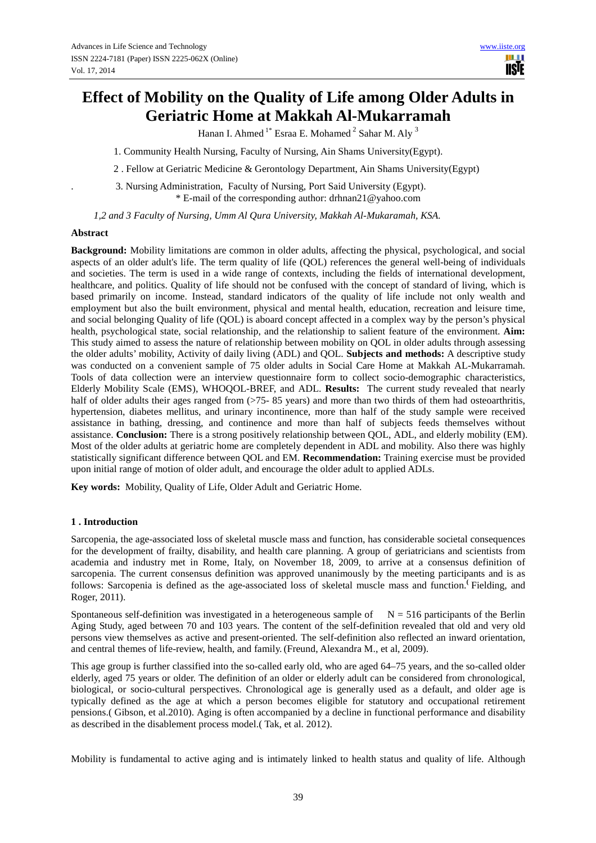# **Effect of Mobility on the Quality of Life among Older Adults in Geriatric Home at Makkah Al-Mukarramah**

Hanan I. Ahmed  $1^*$  Esraa E. Mohamed  $^2$  Sahar M. Aly  $^3$ 

1. Community Health Nursing, Faculty of Nursing, Ain Shams University(Egypt).

2 . Fellow at Geriatric Medicine & Gerontology Department, Ain Shams University(Egypt)

. 3. Nursing Administration, Faculty of Nursing, Port Said University (Egypt). \* E-mail of the corresponding author: drhnan21@yahoo.com

 *1,2 and 3 Faculty of Nursing, Umm Al Qura University, Makkah Al-Mukaramah, KSA.* 

#### **Abstract**

**Background:** Mobility limitations are common in older adults, affecting the physical, psychological, and social aspects of an older adult's life. The term quality of life (QOL) references the general well-being of individuals and societies. The term is used in a wide range of contexts, including the fields of international development, healthcare, and politics. Quality of life should not be confused with the concept of standard of living, which is based primarily on income. Instead, standard indicators of the quality of life include not only wealth and employment but also the built environment, physical and mental health, education, recreation and leisure time, and social belonging Quality of life (QOL) is aboard concept affected in a complex way by the person's physical health, psychological state, social relationship, and the relationship to salient feature of the environment. **Aim:** This study aimed to assess the nature of relationship between mobility on QOL in older adults through assessing the older adults' mobility, Activity of daily living (ADL) and QOL. **Subjects and methods:** A descriptive study was conducted on a convenient sample of 75 older adults in Social Care Home at Makkah AL-Mukarramah. Tools of data collection were an interview questionnaire form to collect socio-demographic characteristics, Elderly Mobility Scale (EMS), WHOQOL-BREF, and ADL. **Results:** The current study revealed that nearly half of older adults their ages ranged from (>75- 85 years) and more than two thirds of them had osteoarthritis, hypertension, diabetes mellitus, and urinary incontinence, more than half of the study sample were received assistance in bathing, dressing, and continence and more than half of subjects feeds themselves without assistance. **Conclusion:** There is a strong positively relationship between QOL, ADL, and elderly mobility (EM). Most of the older adults at geriatric home are completely dependent in ADL and mobility. Also there was highly statistically significant difference between QOL and EM. **Recommendation:** Training exercise must be provided upon initial range of motion of older adult, and encourage the older adult to applied ADLs.

**Key words:** Mobility, Quality of Life, Older Adult and Geriatric Home.

#### **1 . Introduction**

Sarcopenia, the age-associated loss of skeletal muscle mass and function, has considerable societal consequences for the development of frailty, disability, and health care planning. A group of geriatricians and scientists from academia and industry met in Rome, Italy, on November 18, 2009, to arrive at a consensus definition of sarcopenia. The current consensus definition was approved unanimously by the meeting participants and is as follows: Sarcopenia is defined as the age-associated loss of skeletal muscle mass and function.**(** Fielding, and Roger, 2011).

Spontaneous self-definition was investigated in a heterogeneous sample of  $N = 516$  participants of the Berlin Aging Study, aged between 70 and 103 years. The content of the self-definition revealed that old and very old persons view themselves as active and present-oriented. The self-definition also reflected an inward orientation, and central themes of life-review, health, and family. (Freund, Alexandra M., et al, 2009).

This age group is further classified into the so-called early old, who are aged 64–75 years, and the so-called older elderly, aged 75 years or older. The definition of an older or elderly adult can be considered from chronological, biological, or socio-cultural perspectives. Chronological age is generally used as a default, and older age is typically defined as the age at which a person becomes eligible for statutory and occupational retirement pensions.( Gibson, et al.2010). Aging is often accompanied by a decline in functional performance and disability as described in the disablement process model.( Tak, et al. 2012).

Mobility is fundamental to active aging and is intimately linked to health status and quality of life. Although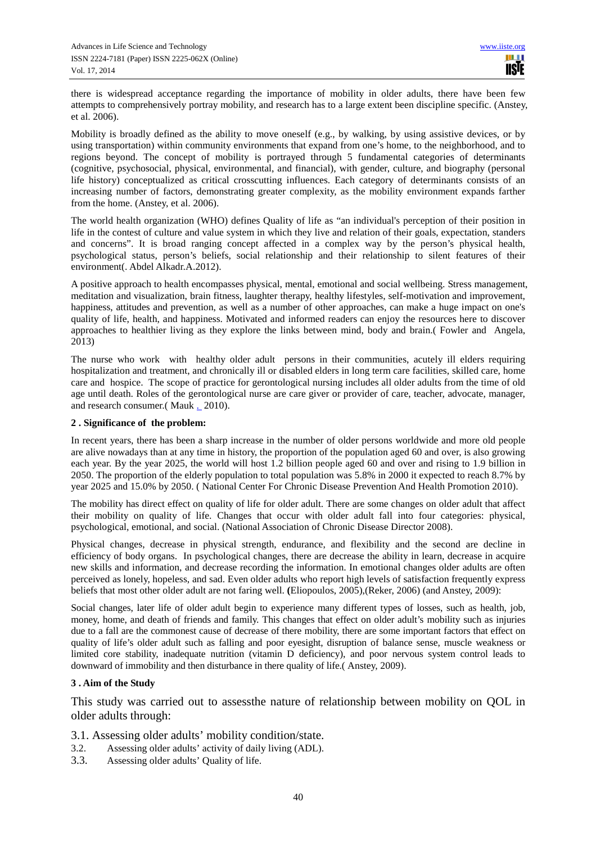there is widespread acceptance regarding the importance of mobility in older adults, there have been few attempts to comprehensively portray mobility, and research has to a large extent been discipline specific. (Anstey, et al. 2006).

Mobility is broadly defined as the ability to move oneself (e.g., by walking, by using assistive devices, or by using transportation) within community environments that expand from one's home, to the neighborhood, and to regions beyond. The concept of mobility is portrayed through 5 fundamental categories of determinants (cognitive, psychosocial, physical, environmental, and financial), with gender, culture, and biography (personal life history) conceptualized as critical crosscutting influences. Each category of determinants consists of an increasing number of factors, demonstrating greater complexity, as the mobility environment expands farther from the home. (Anstey, et al. 2006).

The world health organization (WHO) defines Quality of life as "an individual's perception of their position in life in the contest of culture and value system in which they live and relation of their goals, expectation, standers and concerns". It is broad ranging concept affected in a complex way by the person's physical health, psychological status, person's beliefs, social relationship and their relationship to silent features of their environment(. Abdel Alkadr.A.2012).

A positive approach to health encompasses physical, mental, emotional and social wellbeing. Stress management, meditation and visualization, brain fitness, laughter therapy, healthy lifestyles, self-motivation and improvement, happiness, attitudes and prevention, as well as a number of other approaches, can make a huge impact on one's quality of life, health, and happiness. Motivated and informed readers can enjoy the resources here to discover approaches to healthier living as they explore the links between mind, body and brain.( Fowler and Angela, 2013)

The nurse who work with healthy older adult persons in their communities, acutely ill elders requiring hospitalization and treatment, and chronically ill or disabled elders in long term care facilities, skilled care, home care and hospice. The scope of practice for gerontological nursing includes all older adults from the time of old age until death. Roles of the gerontological nurse are care giver or provider of care, teacher, advocate, manager, and research consumer.( Mauk . 2010).

## **2 . Significance of the problem:**

In recent years, there has been a sharp increase in the number of older persons worldwide and more old people are alive nowadays than at any time in history, the proportion of the population aged 60 and over, is also growing each year. By the year 2025, the world will host 1.2 billion people aged 60 and over and rising to 1.9 billion in 2050. The proportion of the elderly population to total population was 5.8% in 2000 it expected to reach 8.7% by year 2025 and 15.0% by 2050. ( National Center For Chronic Disease Prevention And Health Promotion 2010).

The mobility has direct effect on quality of life for older adult. There are some changes on older adult that affect their mobility on quality of life. Changes that occur with older adult fall into four categories: physical, psychological, emotional, and social. (National Association of Chronic Disease Director 2008).

Physical changes, decrease in physical strength, endurance, and flexibility and the second are decline in efficiency of body organs. In psychological changes, there are decrease the ability in learn, decrease in acquire new skills and information, and decrease recording the information. In emotional changes older adults are often perceived as lonely, hopeless, and sad. Even older adults who report high levels of satisfaction frequently express beliefs that most other older adult are not faring well. **(**Eliopoulos, 2005),(Reker, 2006) (and Anstey, 2009):

Social changes, later life of older adult begin to experience many different types of losses, such as health, job, money, home, and death of friends and family. This changes that effect on older adult's mobility such as injuries due to a fall are the commonest cause of decrease of there mobility, there are some important factors that effect on quality of life's older adult such as falling and poor eyesight, disruption of balance sense, muscle weakness or limited core stability, inadequate nutrition (vitamin D deficiency), and poor nervous system control leads to downward of immobility and then disturbance in there quality of life.( Anstey, 2009).

#### **3 . Aim of the Study**

This study was carried out to assessthe nature of relationship between mobility on QOL in older adults through:

- 3.1. Assessing older adults' mobility condition/state.
- 3.2. Assessing older adults' activity of daily living (ADL).
- 3.3. Assessing older adults' Quality of life.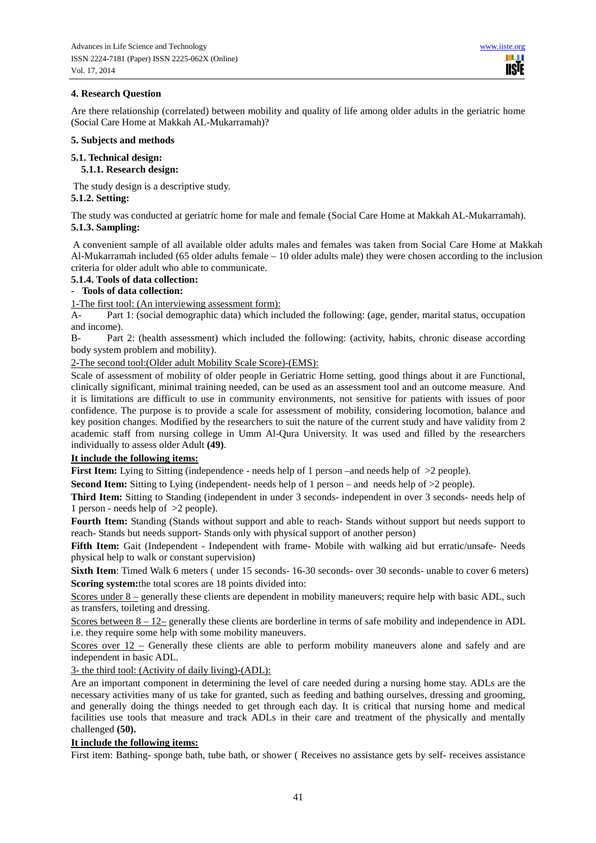## **4. Research Question**

Are there relationship (correlated) between mobility and quality of life among older adults in the geriatric home (Social Care Home at Makkah AL-Mukarramah)?

#### **5. Subjects and methods**

# **5.1. Technical design:**

 **5.1.1. Research design:** 

The study design is a descriptive study.

## **5.1.2. Setting:**

The study was conducted at geriatric home for male and female (Social Care Home at Makkah AL-Mukarramah). **5.1.3. Sampling:**

 A convenient sample of all available older adults males and females was taken from Social Care Home at Makkah Al-Mukarramah included (65 older adults female – 10 older adults male) they were chosen according to the inclusion criteria for older adult who able to communicate.

#### **5.1.4. Tools of data collection:**

## **- Tools of data collection:**

1-The first tool: (An interviewing assessment form):

A- Part 1: (social demographic data) which included the following: (age, gender, marital status, occupation and income).

B- Part 2: (health assessment) which included the following: (activity, habits, chronic disease according body system problem and mobility).

2-The second tool:(Older adult Mobility Scale Score)-(EMS):

Scale of assessment of mobility of older people in Geriatric Home setting, good things about it are Functional, clinically significant, minimal training needed, can be used as an assessment tool and an outcome measure. And it is limitations are difficult to use in community environments, not sensitive for patients with issues of poor confidence. The purpose is to provide a scale for assessment of mobility, considering locomotion, balance and key position changes. Modified by the researchers to suit the nature of the current study and have validity from 2 academic staff from nursing college in Umm Al-Qura University. It was used and filled by the researchers individually to assess older Adult **(49)**.

## **It include the following items:**

**First Item:** Lying to Sitting (independence - needs help of 1 person –and needs help of  $>2$  people).

**Second Item:** Sitting to Lying (independent- needs help of 1 person – and needs help of  $>2$  people).

**Third Item:** Sitting to Standing (independent in under 3 seconds- independent in over 3 seconds- needs help of 1 person - needs help of >2 people).

**Fourth Item:** Standing (Stands without support and able to reach- Stands without support but needs support to reach- Stands but needs support- Stands only with physical support of another person)

Fifth Item: Gait (Independent - Independent with frame- Mobile with walking aid but erratic/unsafe- Needs physical help to walk or constant supervision)

**Sixth Item**: Timed Walk 6 meters ( under 15 seconds- 16-30 seconds- over 30 seconds- unable to cover 6 meters) **Scoring system:**the total scores are 18 points divided into:

Scores under 8 – generally these clients are dependent in mobility maneuvers; require help with basic ADL, such as transfers, toileting and dressing.

Scores between 8 – 12– generally these clients are borderline in terms of safe mobility and independence in ADL i.e. they require some help with some mobility maneuvers.

Scores over  $12$  – Generally these clients are able to perform mobility maneuvers alone and safely and are independent in basic ADL.

3- the third tool: (Activity of daily living)-(ADL):

Are an important component in determining the level of care needed during a nursing home stay. ADLs are the necessary activities many of us take for granted, such as feeding and bathing ourselves, dressing and grooming, and generally doing the things needed to get through each day. It is critical that nursing home and medical facilities use tools that measure and track ADLs in their care and treatment of the physically and mentally challenged **(50).** 

# **It include the following items:**

First item: Bathing- sponge bath, tube bath, or shower ( Receives no assistance gets by self- receives assistance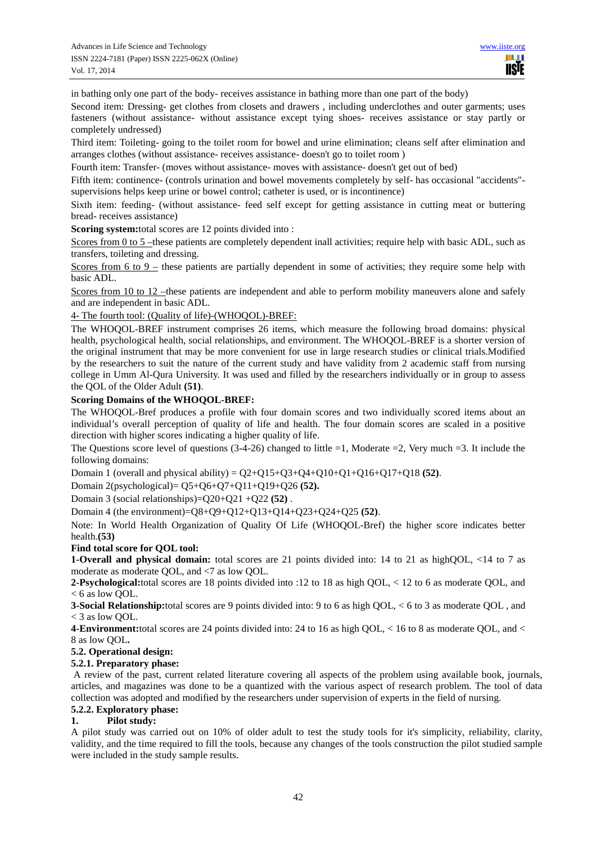in bathing only one part of the body- receives assistance in bathing more than one part of the body)

Second item: Dressing- get clothes from closets and drawers , including underclothes and outer garments; uses fasteners (without assistance- without assistance except tying shoes- receives assistance or stay partly or completely undressed)

Third item: Toileting- going to the toilet room for bowel and urine elimination; cleans self after elimination and arranges clothes (without assistance- receives assistance- doesn't go to toilet room )

Fourth item: Transfer- (moves without assistance- moves with assistance- doesn't get out of bed)

Fifth item: continence- (controls urination and bowel movements completely by self- has occasional "accidents" supervisions helps keep urine or bowel control; catheter is used, or is incontinence)

Sixth item: feeding- (without assistance- feed self except for getting assistance in cutting meat or buttering bread- receives assistance)

**Scoring system:**total scores are 12 points divided into :

Scores from 0 to 5 –these patients are completely dependent inall activities; require help with basic ADL, such as transfers, toileting and dressing.

Scores from 6 to 9 – these patients are partially dependent in some of activities; they require some help with basic ADL.

Scores from 10 to 12 –these patients are independent and able to perform mobility maneuvers alone and safely and are independent in basic ADL.

4- The fourth tool: (Quality of life)-(WHOQOL)-BREF:

The WHOQOL-BREF instrument comprises 26 items, which measure the following broad domains: physical health, psychological health, social relationships, and environment. The WHOQOL-BREF is a shorter version of the original instrument that may be more convenient for use in large research studies or clinical trials.Modified by the researchers to suit the nature of the current study and have validity from 2 academic staff from nursing college in Umm Al-Qura University. It was used and filled by the researchers individually or in group to assess the QOL of the Older Adult **(51)**.

#### **Scoring Domains of the WHOQOL-BREF:**

The WHOQOL-Bref produces a profile with four domain scores and two individually scored items about an individual's overall perception of quality of life and health. The four domain scores are scaled in a positive direction with higher scores indicating a higher quality of life.

The Questions score level of questions (3-4-26) changed to little =1, Moderate =2, Very much =3. It include the following domains:

Domain 1 (overall and physical ability) =  $Q2+Q15+Q3+Q4+Q10+Q1+Q16+Q17+Q18$  (52).

Domain 2(psychological)= Q5+Q6+Q7+Q11+Q19+Q26 **(52).**

Domain 3 (social relationships)=Q20+Q21 +Q22 **(52)** .

Domain 4 (the environment)=Q8+Q9+Q12+Q13+Q14+Q23+Q24+Q25 **(52)**.

Note: In World Health Organization of Quality Of Life (WHOQOL-Bref) the higher score indicates better health.**(53)**

## **Find total score for QOL tool:**

**1-Overall and physical domain:** total scores are 21 points divided into: 14 to 21 as highQOL, <14 to 7 as moderate as moderate QOL, and <7 as low QOL.

**2-Psychological:**total scores are 18 points divided into :12 to 18 as high QOL, < 12 to 6 as moderate QOL, and < 6 as low QOL.

**3-Social Relationship:**total scores are 9 points divided into: 9 to 6 as high QOL, < 6 to 3 as moderate QOL , and < 3 as low QOL.

**4-Environment:**total scores are 24 points divided into: 24 to 16 as high QOL, < 16 to 8 as moderate QOL, and < 8 as low QOL**.**

## **5.2. Operational design:**

#### **5.2.1. Preparatory phase:**

 A review of the past, current related literature covering all aspects of the problem using available book, journals, articles, and magazines was done to be a quantized with the various aspect of research problem. The tool of data collection was adopted and modified by the researchers under supervision of experts in the field of nursing.

## **5.2.2. Exploratory phase:**

## **1. Pilot study:**

A pilot study was carried out on 10% of older adult to test the study tools for it's simplicity, reliability, clarity, validity, and the time required to fill the tools, because any changes of the tools construction the pilot studied sample were included in the study sample results.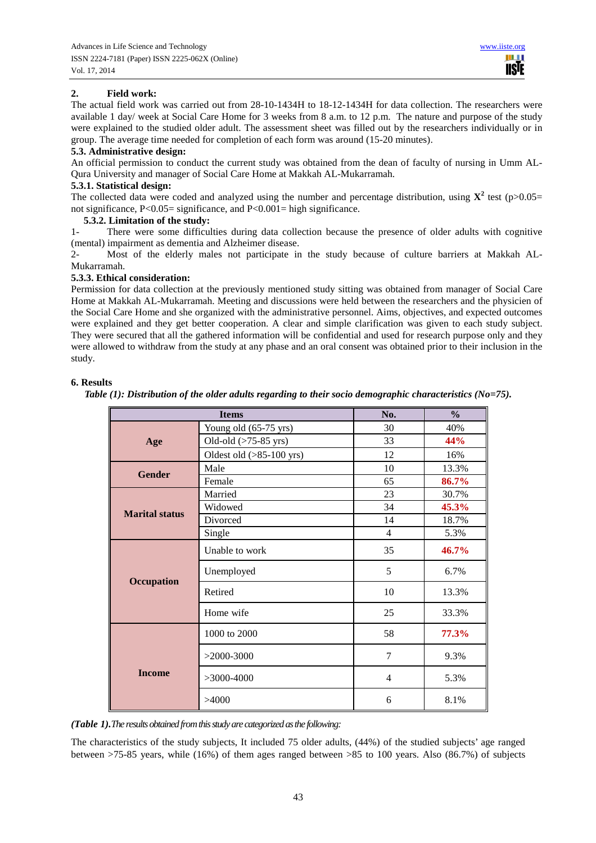# **2. Field work:**

The actual field work was carried out from 28-10-1434H to 18-12-1434H for data collection. The researchers were available 1 day/ week at Social Care Home for 3 weeks from 8 a.m. to 12 p.m. The nature and purpose of the study were explained to the studied older adult. The assessment sheet was filled out by the researchers individually or in group. The average time needed for completion of each form was around (15-20 minutes).

#### **5.3. Administrative design:**

An official permission to conduct the current study was obtained from the dean of faculty of nursing in Umm AL-Qura University and manager of Social Care Home at Makkah AL-Mukarramah.

#### **5.3.1. Statistical design:**

The collected data were coded and analyzed using the number and percentage distribution, using  $X^2$  test (p>0.05= not significance,  $P < 0.05$  = significance, and  $P < 0.001$  = high significance.

#### **5.3.2. Limitation of the study:**

1- There were some difficulties during data collection because the presence of older adults with cognitive (mental) impairment as dementia and Alzheimer disease.

2- Most of the elderly males not participate in the study because of culture barriers at Makkah AL-Mukarramah.

#### **5.3.3. Ethical consideration:**

Permission for data collection at the previously mentioned study sitting was obtained from manager of Social Care Home at Makkah AL-Mukarramah. Meeting and discussions were held between the researchers and the physicien of the Social Care Home and she organized with the administrative personnel. Aims, objectives, and expected outcomes were explained and they get better cooperation. A clear and simple clarification was given to each study subject. They were secured that all the gathered information will be confidential and used for research purpose only and they were allowed to withdraw from the study at any phase and an oral consent was obtained prior to their inclusion in the study.

## **6. Results**

*Table (1): Distribution of the older adults regarding to their socio demographic characteristics (No=75).*

|                       | No.                                | $\frac{0}{0}$ |          |  |
|-----------------------|------------------------------------|---------------|----------|--|
|                       | Young old (65-75 yrs)              | 30            | 40%      |  |
| Age                   | Old-old $($ >75-85 yrs $)$         | 33            | 44%      |  |
|                       | Oldest old $(>85-100 \text{ yrs})$ | 12            | 16%      |  |
| <b>Gender</b>         | Male                               | 10            | 13.3%    |  |
|                       | Female                             | 65            | 86.7%    |  |
|                       | Married                            | 23            | 30.7%    |  |
| <b>Marital status</b> | Widowed                            | 34            | 45.3%    |  |
|                       | Divorced                           | 14            | 18.7%    |  |
|                       | Single                             | 4             | 5.3%     |  |
|                       | Unable to work                     | 35            | $46.7\%$ |  |
| <b>Occupation</b>     | Unemployed                         | 5             | 6.7%     |  |
|                       | Retired                            | 10            | 13.3%    |  |
|                       | Home wife                          | 25            | 33.3%    |  |
|                       | 1000 to 2000                       | 58            | 77.3%    |  |
|                       | $>2000-3000$                       | 7             | 9.3%     |  |
| <b>Income</b>         | $>3000-4000$                       | 4             | 5.3%     |  |
|                       | >4000                              | 6             | 8.1%     |  |

*(Table 1).The results obtained from this study are categorized as the following:* 

The characteristics of the study subjects, It included 75 older adults, (44%) of the studied subjects' age ranged between >75-85 years, while (16%) of them ages ranged between >85 to 100 years. Also (86.7%) of subjects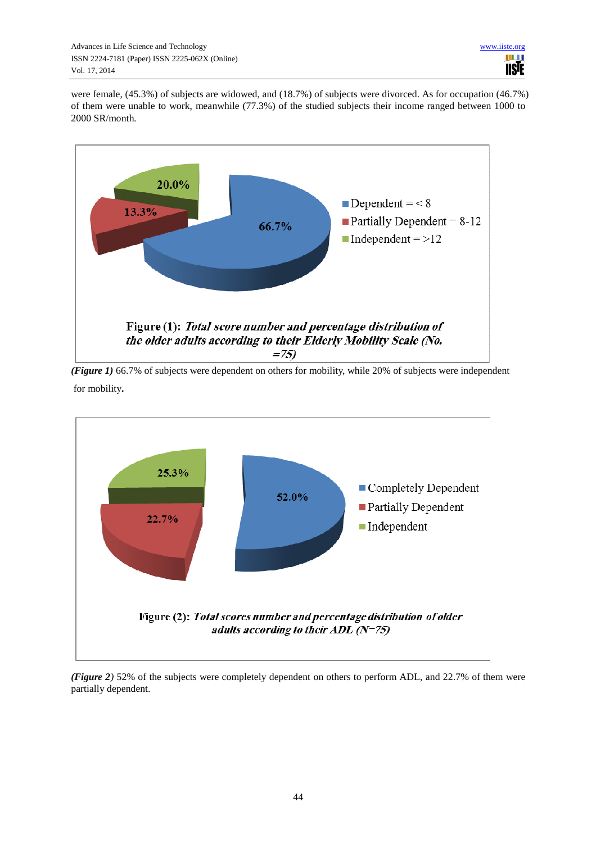were female, (45.3%) of subjects are widowed, and (18.7%) of subjects were divorced. As for occupation (46.7%) of them were unable to work, meanwhile (77.3%) of the studied subjects their income ranged between 1000 to 2000 SR/month*.* 



*(Figure 1)* 66.7% of subjects were dependent on others for mobility, while 20% of subjects were independent for mobility**.** 



*(Figure 2)* 52% of the subjects were completely dependent on others to perform ADL, and 22.7% of them were partially dependent.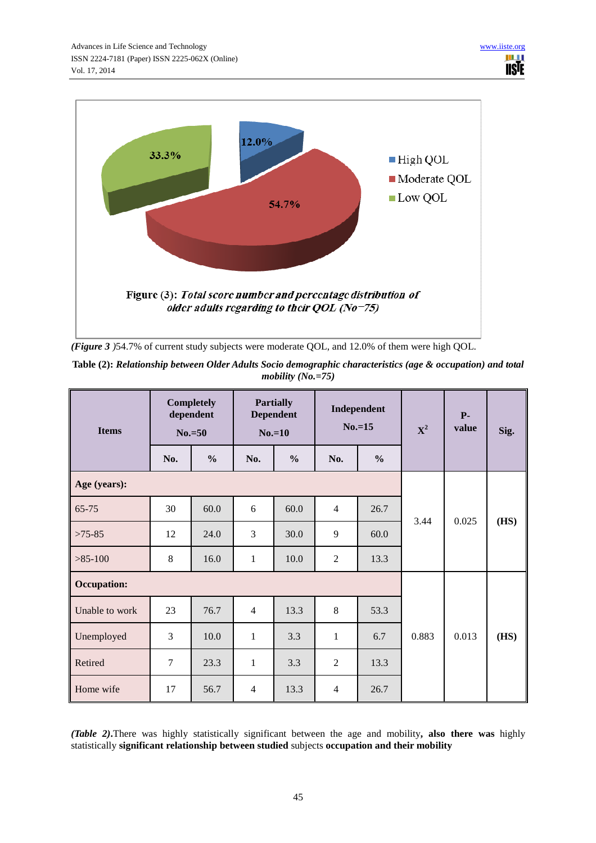

*(Figure 3 )*54.7% of current study subjects were moderate QOL, and 12.0% of them were high QOL.

| Table (2): Relationship between Older Adults Socio demographic characteristics (age & occupation) and total |  |
|-------------------------------------------------------------------------------------------------------------|--|
| mobility $(No, = 75)$                                                                                       |  |

| <b>Items</b>       |                | <b>Completely</b><br>dependent<br>$No.=50$ | <b>Partially</b><br><b>Dependent</b><br>$No.=10$ |               | Independent<br>$No.=15$ |               | ${\bf X}^2$ | $P-$<br>value | Sig. |
|--------------------|----------------|--------------------------------------------|--------------------------------------------------|---------------|-------------------------|---------------|-------------|---------------|------|
|                    | No.            | $\frac{0}{0}$                              | No.                                              | $\frac{0}{0}$ | No.                     | $\frac{0}{0}$ |             |               |      |
| Age (years):       |                |                                            |                                                  |               |                         |               |             |               |      |
| 65-75              | 30             | 60.0                                       | 6                                                | 60.0          | $\overline{4}$          | 26.7          | 3.44        | 0.025         | (HS) |
| $>75-85$           | 12             | 24.0                                       | 3                                                | 30.0          | 9                       | 60.0          |             |               |      |
| $>85-100$          | 8              | 16.0                                       | $\mathbf{1}$                                     | 10.0          | $\overline{2}$          | 13.3          |             |               |      |
| <b>Occupation:</b> |                |                                            |                                                  |               |                         |               |             |               |      |
| Unable to work     | 23             | 76.7                                       | $\overline{4}$                                   | 13.3          | 8                       | 53.3          |             | 0.013         | (HS) |
| Unemployed         | 3              | 10.0                                       | $\mathbf{1}$                                     | 3.3           | 1                       | 6.7           | 0.883       |               |      |
| Retired            | $\overline{7}$ | 23.3                                       | $\mathbf{1}$                                     | 3.3           | $\overline{2}$          | 13.3          |             |               |      |
| Home wife          | 17             | 56.7                                       | $\overline{4}$                                   | 13.3          | $\overline{4}$          | 26.7          |             |               |      |

*(Table 2)***.**There was highly statistically significant between the age and mobility**, also there was** highly statistically **significant relationship between studied** subjects **occupation and their mobility**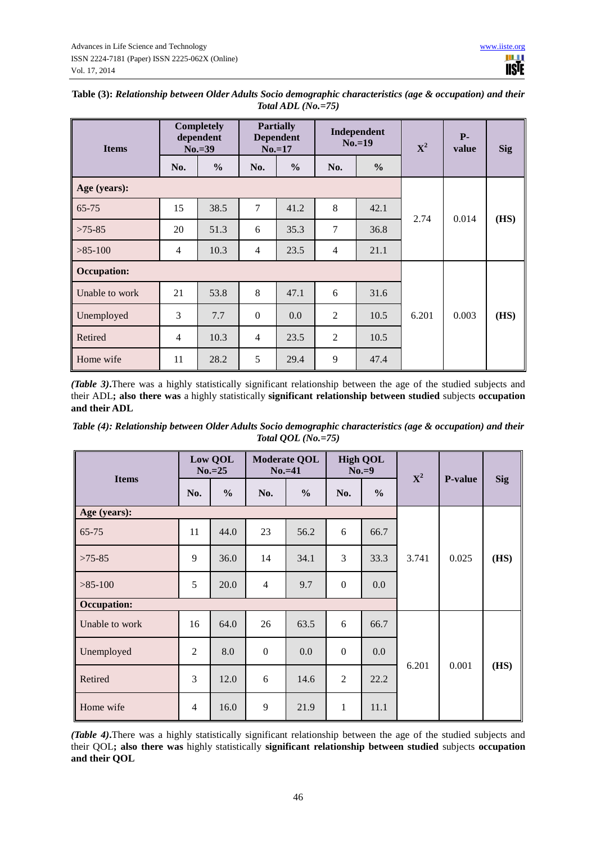| <b>Items</b>       |                | <b>Completely</b><br>dependent<br>$No.=39$ |                | <b>Partially</b><br><b>Dependent</b><br>$No.=17$ |                | Independent<br>$No.=19$ |       | $P-$<br>value | <b>Sig</b> |
|--------------------|----------------|--------------------------------------------|----------------|--------------------------------------------------|----------------|-------------------------|-------|---------------|------------|
|                    | No.            | $\frac{0}{0}$                              | No.            | $\frac{6}{6}$                                    | No.            | $\frac{0}{0}$           |       |               |            |
| Age (years):       |                |                                            |                |                                                  |                |                         |       |               |            |
| $65 - 75$          | 15             | 38.5                                       | 7              | 41.2                                             | 8              | 42.1                    | 2.74  | 0.014         | (HS)       |
| $>75-85$           | 20             | 51.3                                       | 6              | 35.3                                             | $\overline{7}$ | 36.8                    |       |               |            |
| $>85-100$          | $\overline{4}$ | 10.3                                       | $\overline{4}$ | 23.5                                             | $\overline{4}$ | 21.1                    |       |               |            |
| <b>Occupation:</b> |                |                                            |                |                                                  |                |                         |       |               |            |
| Unable to work     | 21             | 53.8                                       | 8              | 47.1                                             | 6              | 31.6                    |       | 0.003         | (HS)       |
| Unemployed         | 3              | 7.7                                        | $\mathbf{0}$   | 0.0                                              | $\overline{2}$ | 10.5                    | 6.201 |               |            |
| Retired            | $\overline{4}$ | 10.3                                       | $\overline{4}$ | 23.5                                             | $\overline{2}$ | 10.5                    |       |               |            |
| Home wife          | 11             | 28.2                                       | 5              | 29.4                                             | 9              | 47.4                    |       |               |            |

| Table (3): Relationship between Older Adults Socio demographic characteristics (age & occupation) and their |
|-------------------------------------------------------------------------------------------------------------|
| Total ADL $(No. = 75)$                                                                                      |

*(Table 3)***.**There was a highly statistically significant relationship between the age of the studied subjects and their ADL**; also there was** a highly statistically **significant relationship between studied** subjects **occupation and their ADL** 

*Table (4): Relationship between Older Adults Socio demographic characteristics (age & occupation) and their Total QOL (No.=75)* 

| <b>Items</b>       |                | Low QOL<br>$No.=25$ |                | <b>Moderate QOL</b><br>$No.=41$ | <b>High QOL</b><br>$No.=9$ |               | ${\bf X}^2$ | <b>P-value</b> | <b>Sig</b> |
|--------------------|----------------|---------------------|----------------|---------------------------------|----------------------------|---------------|-------------|----------------|------------|
|                    | No.            | $\frac{0}{0}$       | No.            | $\frac{0}{0}$                   | No.                        | $\frac{6}{6}$ |             |                |            |
| Age (years):       |                |                     |                |                                 |                            |               |             |                |            |
| $65 - 75$          | 11             | 44.0                | 23             | 56.2                            | 6                          | 66.7          | 3.741       | 0.025          | (HS)       |
| $>75-85$           | 9              | 36.0                | 14             | 34.1                            | 3                          | 33.3          |             |                |            |
| $>85-100$          | 5              | 20.0                | $\overline{4}$ | 9.7                             | $\overline{0}$             | 0.0           |             |                |            |
| <b>Occupation:</b> |                |                     |                |                                 |                            |               |             |                |            |
| Unable to work     | 16             | 64.0                | 26             | 63.5                            | 6                          | 66.7          |             | 0.001          |            |
| Unemployed         | $\overline{2}$ | 8.0                 | $\mathbf{0}$   | 0.0                             | $\boldsymbol{0}$           | 0.0           | 6.201       |                |            |
| Retired            | 3              | 12.0                | 6              | 14.6                            | $\overline{2}$             | 22.2          |             |                | (HS)       |
| Home wife          | $\overline{4}$ | 16.0                | 9              | 21.9                            | $\mathbf{1}$               | 11.1          |             |                |            |

*(Table 4)***.**There was a highly statistically significant relationship between the age of the studied subjects and their QOL**; also there was** highly statistically **significant relationship between studied** subjects **occupation and their QOL**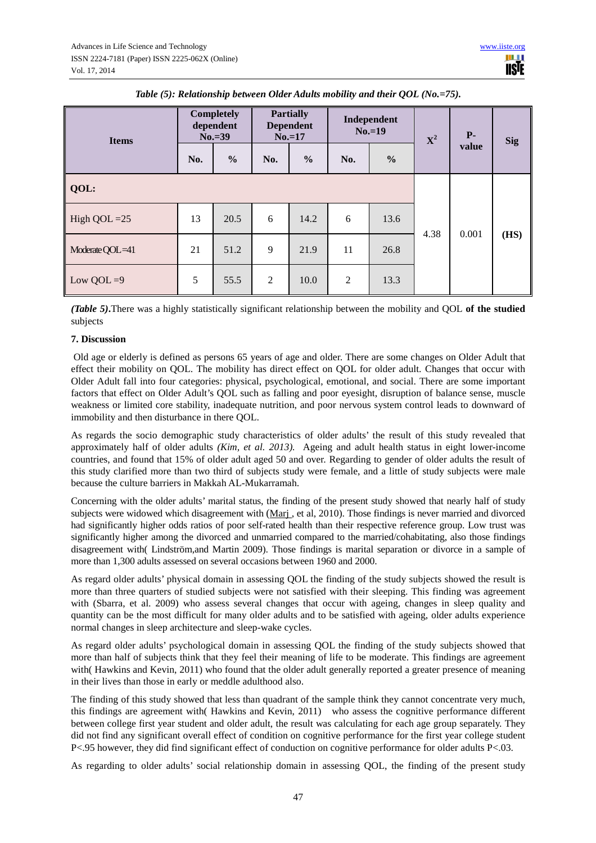| <b>Items</b>    | <b>Completely</b><br>dependent<br>$No.=39$ |               | <b>Partially</b><br><b>Dependent</b><br>$No.=17$ |               | Independent<br>$No.=19$ |               | ${\bf X}^2$ | $P-$  | <b>Sig</b> |
|-----------------|--------------------------------------------|---------------|--------------------------------------------------|---------------|-------------------------|---------------|-------------|-------|------------|
|                 | No.                                        | $\frac{6}{6}$ | No.                                              | $\frac{6}{6}$ | No.                     | $\frac{0}{0}$ |             | value |            |
| QOL:            |                                            |               |                                                  |               |                         |               |             |       |            |
| High QOL $=25$  | 13                                         | 20.5          | 6                                                | 14.2          | 6                       | 13.6          | 4.38        | 0.001 | (HS)       |
| Moderate QOL=41 | 21                                         | 51.2          | 9                                                | 21.9          | 11                      | 26.8          |             |       |            |
| Low QOL $=9$    | 5                                          | 55.5          | $\overline{2}$                                   | 10.0          | $\overline{2}$          | 13.3          |             |       |            |

*Table (5): Relationship between Older Adults mobility and their QOL (No.=75).* 

*(Table 5)***.**There was a highly statistically significant relationship between the mobility and QOL **of the studied**  subjects

#### **7. Discussion**

 Old age or elderly is defined as persons 65 years of age and older. There are some changes on Older Adult that effect their mobility on QOL. The mobility has direct effect on QOL for older adult. Changes that occur with Older Adult fall into four categories: physical, psychological, emotional, and social. There are some important factors that effect on Older Adult's QOL such as falling and poor eyesight, disruption of balance sense, muscle weakness or limited core stability, inadequate nutrition, and poor nervous system control leads to downward of immobility and then disturbance in there QOL.

As regards the socio demographic study characteristics of older adults' the result of this study revealed that approximately half of older adults *(Kim, et al. 2013).* Ageing and adult health status in eight lower-income countries, and found that 15% of older adult aged 50 and over. Regarding to gender of older adults the result of this study clarified more than two third of subjects study were female, and a little of study subjects were male because the culture barriers in Makkah AL-Mukarramah.

Concerning with the older adults' marital status, the finding of the present study showed that nearly half of study subjects were widowed which disagreement with (Marj , et al, 2010). Those findings is never married and divorced had significantly higher odds ratios of poor self-rated health than their respective reference group. Low trust was significantly higher among the divorced and unmarried compared to the married/cohabitating, also those findings disagreement with( Lindström,and Martin 2009). Those findings is marital separation or divorce in a sample of more than 1,300 adults assessed on several occasions between 1960 and 2000.

As regard older adults' physical domain in assessing QOL the finding of the study subjects showed the result is more than three quarters of studied subjects were not satisfied with their sleeping. This finding was agreement with (Sbarra, et al. 2009) who assess several changes that occur with ageing, changes in sleep quality and quantity can be the most difficult for many older adults and to be satisfied with ageing, older adults experience normal changes in sleep architecture and sleep-wake cycles.

As regard older adults' psychological domain in assessing QOL the finding of the study subjects showed that more than half of subjects think that they feel their meaning of life to be moderate. This findings are agreement with( Hawkins and Kevin, 2011) who found that the older adult generally reported a greater presence of meaning in their lives than those in early or meddle adulthood also.

The finding of this study showed that less than quadrant of the sample think they cannot concentrate very much, this findings are agreement with( Hawkins and Kevin, 2011) who assess the cognitive performance different between college first year student and older adult, the result was calculating for each age group separately. They did not find any significant overall effect of condition on cognitive performance for the first year college student P<.95 however, they did find significant effect of conduction on cognitive performance for older adults P<.03.

As regarding to older adults' social relationship domain in assessing QOL, the finding of the present study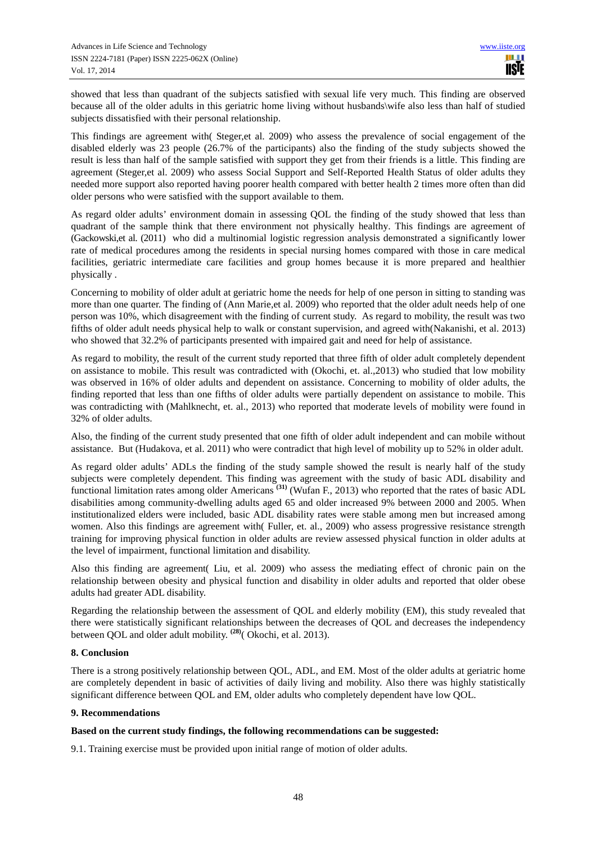showed that less than quadrant of the subjects satisfied with sexual life very much. This finding are observed because all of the older adults in this geriatric home living without husbands\wife also less than half of studied subjects dissatisfied with their personal relationship.

This findings are agreement with( Steger,et al. 2009) who assess the prevalence of social engagement of the disabled elderly was 23 people (26.7% of the participants) also the finding of the study subjects showed the result is less than half of the sample satisfied with support they get from their friends is a little. This finding are agreement (Steger,et al. 2009) who assess Social Support and Self-Reported Health Status of older adults they needed more support also reported having poorer health compared with better health 2 times more often than did older persons who were satisfied with the support available to them.

As regard older adults' environment domain in assessing QOL the finding of the study showed that less than quadrant of the sample think that there environment not physically healthy. This findings are agreement of (Gackowski,et al. (2011) who did a multinomial logistic regression analysis demonstrated a significantly lower rate of medical procedures among the residents in special nursing homes compared with those in care medical facilities, geriatric intermediate care facilities and group homes because it is more prepared and healthier physically .

Concerning to mobility of older adult at geriatric home the needs for help of one person in sitting to standing was more than one quarter. The finding of (Ann Marie,et al. 2009) who reported that the older adult needs help of one person was 10%, which disagreement with the finding of current study. As regard to mobility, the result was two fifths of older adult needs physical help to walk or constant supervision, and agreed with(Nakanishi, et al. 2013) who showed that 32.2% of participants presented with impaired gait and need for help of assistance.

As regard to mobility, the result of the current study reported that three fifth of older adult completely dependent on assistance to mobile. This result was contradicted with (Okochi, et. al.,2013) who studied that low mobility was observed in 16% of older adults and dependent on assistance. Concerning to mobility of older adults, the finding reported that less than one fifths of older adults were partially dependent on assistance to mobile. This was contradicting with (Mahlknecht, et. al., 2013) who reported that moderate levels of mobility were found in 32% of older adults.

Also, the finding of the current study presented that one fifth of older adult independent and can mobile without assistance. But (Hudakova, et al. 2011) who were contradict that high level of mobility up to 52% in older adult.

As regard older adults' ADLs the finding of the study sample showed the result is nearly half of the study subjects were completely dependent. This finding was agreement with the study of basic ADL disability and functional limitation rates among older Americans **(31)** (Wufan F., 2013) who reported that the rates of basic ADL disabilities among community-dwelling adults aged 65 and older increased 9% between 2000 and 2005. When institutionalized elders were included, basic ADL disability rates were stable among men but increased among women. Also this findings are agreement with( Fuller, et. al., 2009) who assess progressive resistance strength training for improving physical function in older adults are review assessed physical function in older adults at the level of impairment, functional limitation and disability.

Also this finding are agreement( Liu, et al. 2009) who assess the mediating effect of chronic pain on the relationship between obesity and physical function and disability in older adults and reported that older obese adults had greater ADL disability.

Regarding the relationship between the assessment of QOL and elderly mobility (EM), this study revealed that there were statistically significant relationships between the decreases of QOL and decreases the independency between QOL and older adult mobility. **(28)**( Okochi, et al. 2013).

# **8. Conclusion**

There is a strong positively relationship between QOL, ADL, and EM. Most of the older adults at geriatric home are completely dependent in basic of activities of daily living and mobility. Also there was highly statistically significant difference between QOL and EM, older adults who completely dependent have low QOL.

#### **9. Recommendations**

### **Based on the current study findings, the following recommendations can be suggested:**

9.1. Training exercise must be provided upon initial range of motion of older adults.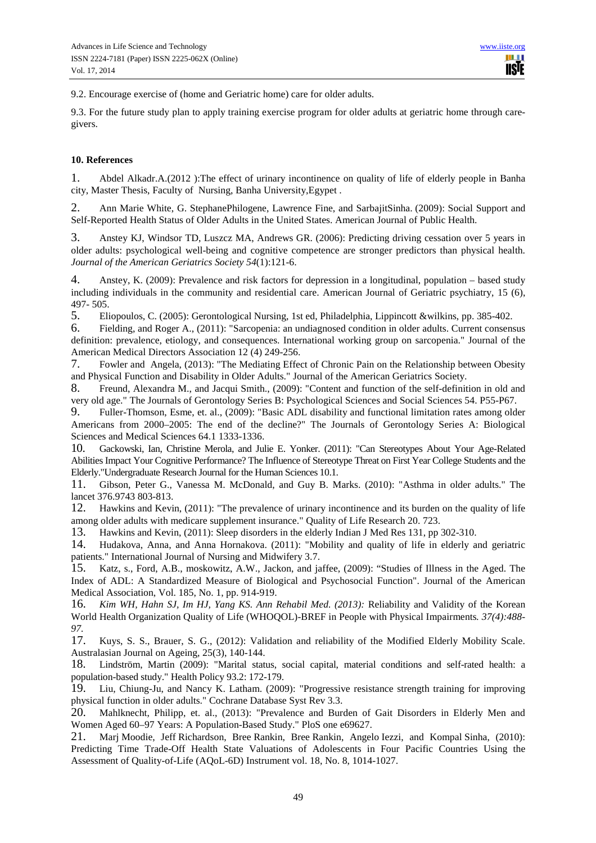9.2. Encourage exercise of (home and Geriatric home) care for older adults.

9.3. For the future study plan to apply training exercise program for older adults at geriatric home through caregivers.

#### **10. References**

1. Abdel Alkadr.A.(2012 ):The effect of urinary incontinence on quality of life of elderly people in Banha city, Master Thesis, Faculty of Nursing, Banha University,Egypet .

2. Ann Marie White, G. StephanePhilogene, Lawrence Fine, and SarbajitSinha. (2009): Social Support and Self-Reported Health Status of Older Adults in the United States. American Journal of Public Health.

3. Anstey KJ, Windsor TD, Luszcz MA, Andrews GR. (2006): Predicting driving cessation over 5 years in older adults: psychological well-being and cognitive competence are stronger predictors than physical health. *Journal of the American Geriatrics Society 54*(1):121-6.

4. Anstey, K. (2009): Prevalence and risk factors for depression in a longitudinal, population – based study including individuals in the community and residential care. American Journal of Geriatric psychiatry, 15 (6), 497- 505.

5. Eliopoulos, C. (2005): Gerontological Nursing, 1st ed, Philadelphia, Lippincott &wilkins, pp. 385-402.

6. Fielding, and Roger A., (2011): "Sarcopenia: an undiagnosed condition in older adults. Current consensus definition: prevalence, etiology, and consequences. International working group on sarcopenia." Journal of the American Medical Directors Association 12 (4) 249-256.

7. Fowler and Angela, (2013): "The Mediating Effect of Chronic Pain on the Relationship between Obesity and Physical Function and Disability in Older Adults." Journal of the American Geriatrics Society.

8. Freund, Alexandra M., and Jacqui Smith., (2009): "Content and function of the self-definition in old and very old age." The Journals of Gerontology Series B: Psychological Sciences and Social Sciences 54. P55-P67.

9. Fuller-Thomson, Esme, et. al., (2009): "Basic ADL disability and functional limitation rates among older Americans from 2000–2005: The end of the decline?" The Journals of Gerontology Series A: Biological Sciences and Medical Sciences 64.1 1333-1336.

10. Gackowski, Ian, Christine Merola, and Julie E. Yonker. (2011): "Can Stereotypes About Your Age-Related Abilities Impact Your Cognitive Performance? The Influence of Stereotype Threat on First Year College Students and the Elderly."Undergraduate Research Journal for the Human Sciences 10.1.

11. Gibson, Peter G., Vanessa M. McDonald, and Guy B. Marks. (2010): "Asthma in older adults." The lancet 376.9743 803-813.

12. Hawkins and Kevin, (2011): "The prevalence of urinary incontinence and its burden on the quality of life among older adults with medicare supplement insurance." Quality of Life Research 20. 723.

13. Hawkins and Kevin, (2011): Sleep disorders in the elderly Indian J Med Res 131, pp 302-310.

14. Hudakova, Anna, and Anna Hornakova. (2011): "Mobility and quality of life in elderly and geriatric patients." International Journal of Nursing and Midwifery 3.7.

15. Katz, s., Ford, A.B., moskowitz, A.W., Jackon, and jaffee, (2009): "Studies of Illness in the Aged. The Index of ADL: A Standardized Measure of Biological and Psychosocial Function". Journal of the American Medical Association, Vol. 185, No. 1, pp. 914-919.

16. *Kim WH, Hahn SJ, Im HJ, Yang KS. Ann Rehabil Med. (2013):* Reliability and Validity of the Korean World Health Organization Quality of Life (WHOQOL)-BREF in People with Physical Impairments*. 37(4):488- 97.*

17. Kuys, S. S., Brauer, S. G., (2012): Validation and reliability of the Modified Elderly Mobility Scale. Australasian Journal on Ageing, 25(3), 140-144.

18. Lindström, Martin (2009): "Marital status, social capital, material conditions and self-rated health: a population-based study." Health Policy 93.2: 172-179.

19. Liu, Chiung-Ju, and Nancy K. Latham. (2009): "Progressive resistance strength training for improving physical function in older adults." Cochrane Database Syst Rev 3.3.

20. Mahlknecht, Philipp, et. al., (2013): "Prevalence and Burden of Gait Disorders in Elderly Men and Women Aged 60–97 Years: A Population-Based Study." PloS one e69627.

21. Marj Moodie, Jeff Richardson, Bree Rankin, Bree Rankin, Angelo Iezzi, and Kompal Sinha, (2010): Predicting Time Trade-Off Health State Valuations of Adolescents in Four Pacific Countries Using the Assessment of Quality-of-Life (AQoL-6D) Instrument vol. 18, No. 8, 1014-1027.